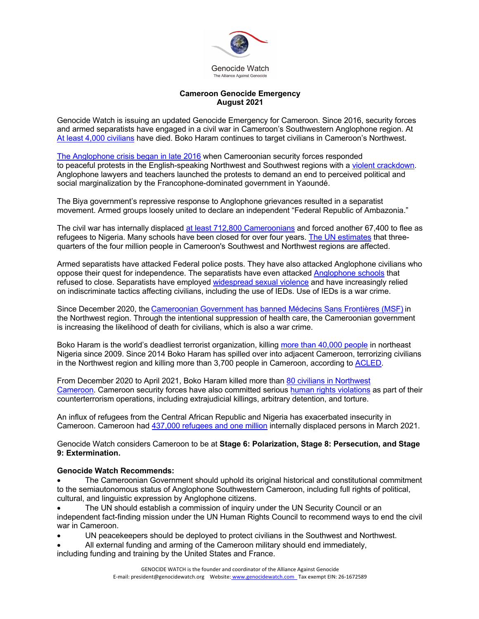

## **Cameroon Genocide Emergency August 2021**

Genocide Watch is issuing an updated Genocide Emergency for Cameroon. Since 2016, security forces and armed separatists have engaged in a civil war in Cameroon's Southwestern Anglophone region. At At least 4,000 civilians have died. Boko Haram continues to target civilians in Cameroon's Northwest.

The Anglophone crisis began in late 2016 when Cameroonian security forces responded to peaceful protests in the English-speaking Northwest and Southwest regions with a violent crackdown. Anglophone lawyers and teachers launched the protests to demand an end to perceived political and social marginalization by the Francophone-dominated government in Yaoundé.

The Biya government's repressive response to Anglophone grievances resulted in a separatist movement. Armed groups loosely united to declare an independent "Federal Republic of Ambazonia."

The civil war has internally displaced at least 712,800 Cameroonians and forced another 67,400 to flee as refugees to Nigeria. Many schools have been closed for over four years. The UN estimates that threequarters of the four million people in Cameroon's Southwest and Northwest regions are affected.

Armed separatists have attacked Federal police posts. They have also attacked Anglophone civilians who oppose their quest for independence. The separatists have even attacked Anglophone schools that refused to close. Separatists have employed widespread sexual violence and have increasingly relied on indiscriminate tactics affecting civilians, including the use of IEDs. Use of IEDs is a war crime.

Since December 2020, the Cameroonian Government has banned Médecins Sans Frontières (MSF) in the Northwest region. Through the intentional suppression of health care, the Cameroonian government is increasing the likelihood of death for civilians, which is also a war crime.

Boko Haram is the world's deadliest terrorist organization, killing more than 40,000 people in northeast Nigeria since 2009. Since 2014 Boko Haram has spilled over into adjacent Cameroon, terrorizing civilians in the Northwest region and killing more than 3,700 people in Cameroon, according to ACLED.

From December 2020 to April 2021, Boko Haram killed more than 80 civilians in Northwest Cameroon. Cameroon security forces have also committed serious human rights violations as part of their counterterrorism operations, including extrajudicial killings, arbitrary detention, and torture.

An influx of refugees from the Central African Republic and Nigeria has exacerbated insecurity in Cameroon. Cameroon had 437,000 refugees and one million internally displaced persons in March 2021.

Genocide Watch considers Cameroon to be at **Stage 6: Polarization, Stage 8: Persecution, and Stage 9: Extermination.**

## **Genocide Watch Recommends:**

• The Cameroonian Government should uphold its original historical and constitutional commitment to the semiautonomous status of Anglophone Southwestern Cameroon, including full rights of political, cultural, and linguistic expression by Anglophone citizens.

• The UN should establish a commission of inquiry under the UN Security Council or an independent fact-finding mission under the UN Human Rights Council to recommend ways to end the civil war in Cameroon.

- UN peacekeepers should be deployed to protect civilians in the Southwest and Northwest.
- All external funding and arming of the Cameroon military should end immediately,

including funding and training by the United States and France.